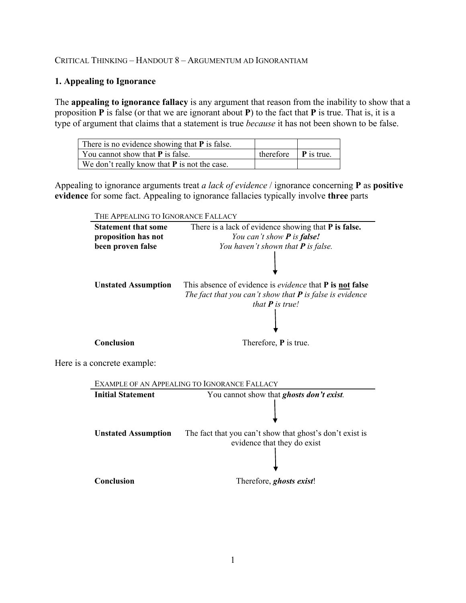# CRITICAL THINKING – HANDOUT 8 – ARGUMENTUM AD IGNORANTIAM

# **1. Appealing to Ignorance**

The **appealing to ignorance fallacy** is any argument that reason from the inability to show that a proposition **P** is false (or that we are ignorant about **P**) to the fact that **P** is true. That is, it is a type of argument that claims that a statement is true *because* it has not been shown to be false.

| There is no evidence showing that $P$ is false. |                                             |  |
|-------------------------------------------------|---------------------------------------------|--|
| You cannot show that $P$ is false.              | therefore $\vert \mathbf{P} \vert$ is true. |  |
| We don't really know that $P$ is not the case.  |                                             |  |

Appealing to ignorance arguments treat *a lack of evidence* / ignorance concerning **P** as **positive evidence** for some fact. Appealing to ignorance fallacies typically involve **three** parts

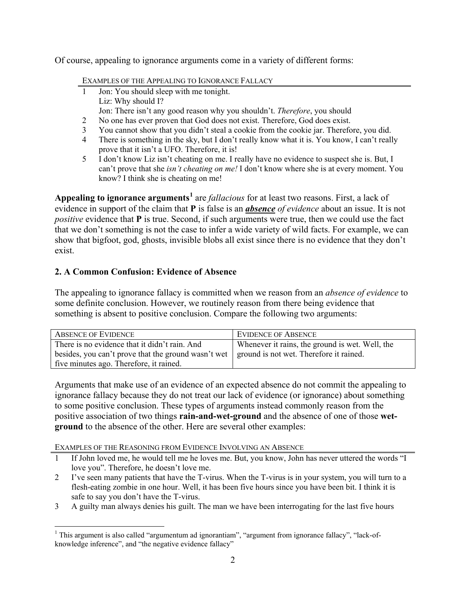Of course, appealing to ignorance arguments come in a variety of different forms:

EXAMPLES OF THE APPEALING TO IGNORANCE FALLACY

- 1 Jon: You should sleep with me tonight. Liz: Why should I? Jon: There isn't any good reason why you shouldn't. *Therefore*, you should
- 2 No one has ever proven that God does not exist. Therefore, God does exist.
- 3 You cannot show that you didn't steal a cookie from the cookie jar. Therefore, you did.
- 4 There is something in the sky, but I don't really know what it is. You know, I can't really prove that it isn't a UFO. Therefore, it is!
- 5 I don't know Liz isn't cheating on me. I really have no evidence to suspect she is. But, I can't prove that she *isn't cheating on me!* I don't know where she is at every moment. You know? I think she is cheating on me!

**Appealing to ignorance arguments[1](#page-1-0)** are *fallacious* for at least two reasons. First, a lack of evidence in support of the claim that **P** is false is an *absence of evidence* about an issue. It is not *positive* evidence that **P** is true. Second, if such arguments were true, then we could use the fact that we don't something is not the case to infer a wide variety of wild facts. For example, we can show that bigfoot, god, ghosts, invisible blobs all exist since there is no evidence that they don't exist.

# **2. A Common Confusion: Evidence of Absence**

The appealing to ignorance fallacy is committed when we reason from an *absence of evidence* to some definite conclusion. However, we routinely reason from there being evidence that something is absent to positive conclusion. Compare the following two arguments:

| <b>ABSENCE OF EVIDENCE</b>                                                                              | <b>EVIDENCE OF ABSENCE</b>                      |
|---------------------------------------------------------------------------------------------------------|-------------------------------------------------|
| There is no evidence that it didn't rain. And                                                           | Whenever it rains, the ground is wet. Well, the |
| besides, you can't prove that the ground wasn't wet $\parallel$ ground is not wet. Therefore it rained. |                                                 |
| five minutes ago. Therefore, it rained.                                                                 |                                                 |

Arguments that make use of an evidence of an expected absence do not commit the appealing to ignorance fallacy because they do not treat our lack of evidence (or ignorance) about something to some positive conclusion. These types of arguments instead commonly reason from the positive association of two things **rain-and-wet-ground** and the absence of one of those **wetground** to the absence of the other. Here are several other examples:

EXAMPLES OF THE REASONING FROM EVIDENCE INVOLVING AN ABSENCE

- 1 If John loved me, he would tell me he loves me. But, you know, John has never uttered the words "I love you". Therefore, he doesn't love me.
- 2 I've seen many patients that have the T-virus. When the T-virus is in your system, you will turn to a flesh-eating zombie in one hour. Well, it has been five hours since you have been bit. I think it is safe to say you don't have the T-virus.
- 3 A guilty man always denies his guilt. The man we have been interrogating for the last five hours

<span id="page-1-0"></span><sup>&</sup>lt;sup>1</sup> This argument is also called "argumentum ad ignorantiam", "argument from ignorance fallacy", "lack-ofknowledge inference", and "the negative evidence fallacy"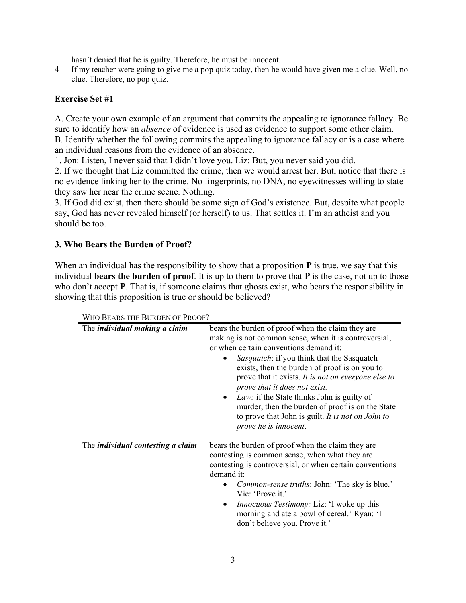hasn't denied that he is guilty. Therefore, he must be innocent.

4 If my teacher were going to give me a pop quiz today, then he would have given me a clue. Well, no clue. Therefore, no pop quiz.

#### **Exercise Set #1**

A. Create your own example of an argument that commits the appealing to ignorance fallacy. Be sure to identify how an *absence* of evidence is used as evidence to support some other claim. B. Identify whether the following commits the appealing to ignorance fallacy or is a case where an individual reasons from the evidence of an absence.

1. Jon: Listen, I never said that I didn't love you. Liz: But, you never said you did.

2. If we thought that Liz committed the crime, then we would arrest her. But, notice that there is no evidence linking her to the crime. No fingerprints, no DNA, no eyewitnesses willing to state they saw her near the crime scene. Nothing.

3. If God did exist, then there should be some sign of God's existence. But, despite what people say, God has never revealed himself (or herself) to us. That settles it. I'm an atheist and you should be too.

### **3. Who Bears the Burden of Proof?**

When an individual has the responsibility to show that a proposition **P** is true, we say that this individual **bears the burden of proof**. It is up to them to prove that **P** is the case, not up to those who don't accept **P**. That is, if someone claims that ghosts exist, who bears the responsibility in showing that this proposition is true or should be believed?

| The <i>individual making a claim</i>     | bears the burden of proof when the claim they are<br>making is not common sense, when it is controversial,<br>or when certain conventions demand it:<br><i>Sasquatch:</i> if you think that the Sasquatch<br>exists, then the burden of proof is on you to<br>prove that it exists. It is not on everyone else to<br>prove that it does not exist.<br>Law: if the State thinks John is guilty of<br>$\bullet$<br>murder, then the burden of proof is on the State<br>to prove that John is guilt. It is not on John to<br>prove he is innocent. |
|------------------------------------------|-------------------------------------------------------------------------------------------------------------------------------------------------------------------------------------------------------------------------------------------------------------------------------------------------------------------------------------------------------------------------------------------------------------------------------------------------------------------------------------------------------------------------------------------------|
| The <i>individual contesting a claim</i> | bears the burden of proof when the claim they are<br>contesting is common sense, when what they are<br>contesting is controversial, or when certain conventions<br>demand it:<br>Common-sense truths: John: 'The sky is blue.'<br>Vic: 'Prove it.'<br><i>Innocuous Testimony: Liz: 'I woke up this</i><br>٠<br>morning and ate a bowl of cereal.' Ryan: 'I<br>don't believe you. Prove it.'                                                                                                                                                     |

WHO BEARS THE BURDEN OF PROOF?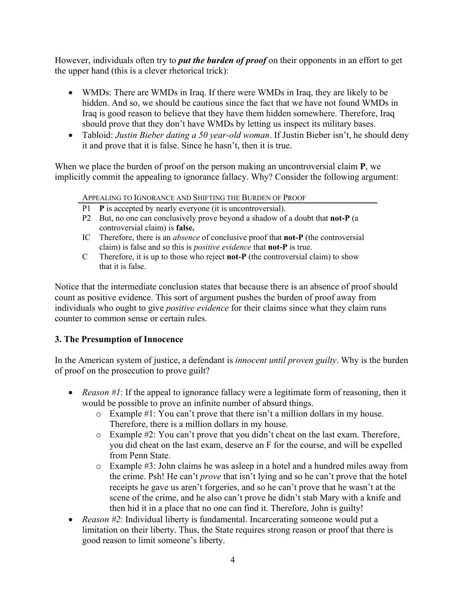However, individuals often try to *put the burden of proof* on their opponents in an effort to get the upper hand (this is a clever rhetorical trick):

- WMDs: There are WMDs in Iraq. If there were WMDs in Iraq, they are likely to be hidden. And so, we should be cautious since the fact that we have not found WMDs in Iraq is good reason to believe that they have them hidden somewhere. Therefore, Iraq should prove that they don't have WMDs by letting us inspect its military bases.
- Tabloid: *Justin Bieber dating a 50 year-old woman*. If Justin Bieber isn't, he should deny it and prove that it is false. Since he hasn't, then it is true.

When we place the burden of proof on the person making an uncontroversial claim **P**, we implicitly commit the appealing to ignorance fallacy. Why? Consider the following argument:

APPEALING TO IGNORANCE AND SHIFTING THE BURDEN OF PROOF

- P1 **P** is accepted by nearly everyone (it is uncontroversial).
- P2 But, no one can conclusively prove beyond a shadow of a doubt that **not-P** (a controversial claim) is **false.**
- IC Therefore, there is an *absence* of conclusive proof that **not-P** (the controversial claim) is false and so this is *positive evidence* that **not-P** is true.
- C Therefore, it is up to those who reject **not-P** (the controversial claim) to show that it is false.

Notice that the intermediate conclusion states that because there is an absence of proof should count as positive evidence. This sort of argument pushes the burden of proof away from individuals who ought to give *positive evidence* for their claims since what they claim runs counter to common sense or certain rules.

# **3. The Presumption of Innocence**

In the American system of justice, a defendant is *innocent until proven guilty*. Why is the burden of proof on the prosecution to prove guilt?

- *Reason #1*: If the appeal to ignorance fallacy were a legitimate form of reasoning, then it would be possible to prove an infinite number of absurd things.
	- o Example #1: You can't prove that there isn't a million dollars in my house. Therefore, there is a million dollars in my house.
	- o Example #2: You can't prove that you didn't cheat on the last exam. Therefore, you did cheat on the last exam, deserve an F for the course, and will be expelled from Penn State.
	- o Example #3: John claims he was asleep in a hotel and a hundred miles away from the crime. Psh! He can't *prove* that isn't lying and so he can't prove that the hotel receipts he gave us aren't forgeries, and so he can't prove that he wasn't at the scene of the crime, and he also can't prove he didn't stab Mary with a knife and then hid it in a place that no one can find it. Therefore, John is guilty!
- *Reason #2*: Individual liberty is fundamental. Incarcerating someone would put a limitation on their liberty. Thus, the State requires strong reason or proof that there is good reason to limit someone's liberty.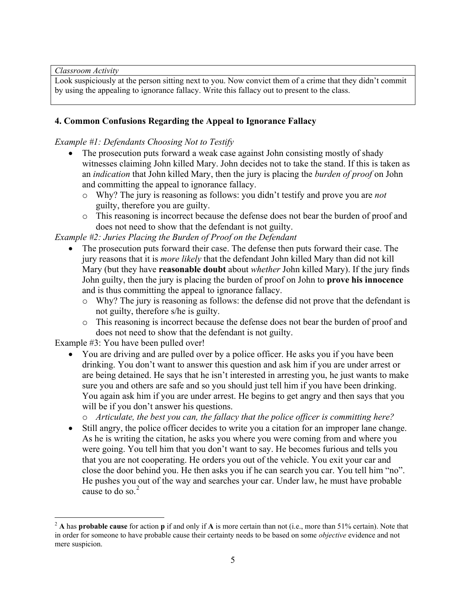*Classroom Activity*

Look suspiciously at the person sitting next to you. Now convict them of a crime that they didn't commit by using the appealing to ignorance fallacy. Write this fallacy out to present to the class.

# **4. Common Confusions Regarding the Appeal to Ignorance Fallacy**

# *Example #1: Defendants Choosing Not to Testify*

- The prosecution puts forward a weak case against John consisting mostly of shady witnesses claiming John killed Mary. John decides not to take the stand. If this is taken as an *indication* that John killed Mary, then the jury is placing the *burden of proof* on John and committing the appeal to ignorance fallacy.
	- o Why? The jury is reasoning as follows: you didn't testify and prove you are *not*  guilty, therefore you are guilty.
	- o This reasoning is incorrect because the defense does not bear the burden of proof and does not need to show that the defendant is not guilty.

*Example #2: Juries Placing the Burden of Proof on the Defendant*

- The prosecution puts forward their case. The defense then puts forward their case. The jury reasons that it is *more likely* that the defendant John killed Mary than did not kill Mary (but they have **reasonable doubt** about *whether* John killed Mary). If the jury finds John guilty, then the jury is placing the burden of proof on John to **prove his innocence**  and is thus committing the appeal to ignorance fallacy.
	- o Why? The jury is reasoning as follows: the defense did not prove that the defendant is not guilty, therefore s/he is guilty.
	- o This reasoning is incorrect because the defense does not bear the burden of proof and does not need to show that the defendant is not guilty.

Example #3: You have been pulled over!

• You are driving and are pulled over by a police officer. He asks you if you have been drinking. You don't want to answer this question and ask him if you are under arrest or are being detained. He says that he isn't interested in arresting you, he just wants to make sure you and others are safe and so you should just tell him if you have been drinking. You again ask him if you are under arrest. He begins to get angry and then says that you will be if you don't answer his questions.

o *Articulate, the best you can, the fallacy that the police officer is committing here?*

• Still angry, the police officer decides to write you a citation for an improper lane change. As he is writing the citation, he asks you where you were coming from and where you were going. You tell him that you don't want to say. He becomes furious and tells you that you are not cooperating. He orders you out of the vehicle. You exit your car and close the door behind you. He then asks you if he can search you car. You tell him "no". He pushes you out of the way and searches your car. Under law, he must have probable cause to do so. [2](#page-4-0)

<span id="page-4-0"></span> <sup>2</sup> **<sup>A</sup>** has **probable cause** for action **p** if and only if **<sup>A</sup>** is more certain than not (i.e., more than 51% certain). Note that in order for someone to have probable cause their certainty needs to be based on some *objective* evidence and not mere suspicion.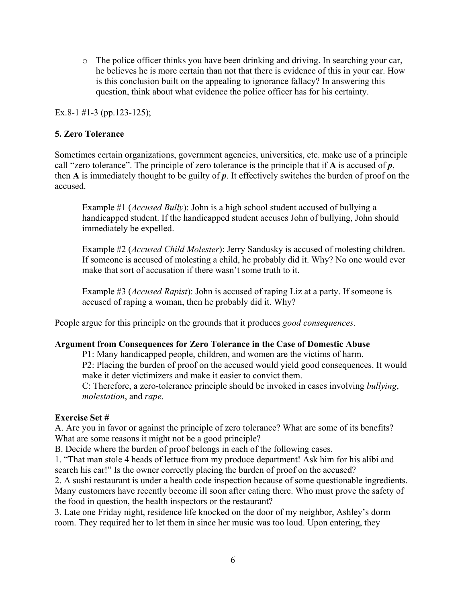o The police officer thinks you have been drinking and driving. In searching your car, he believes he is more certain than not that there is evidence of this in your car. How is this conclusion built on the appealing to ignorance fallacy? In answering this question, think about what evidence the police officer has for his certainty.

Ex.8-1 #1-3 (pp.123-125);

# **5. Zero Tolerance**

Sometimes certain organizations, government agencies, universities, etc. make use of a principle call "zero tolerance". The principle of zero tolerance is the principle that if **A** is accused of *p*, then **A** is immediately thought to be guilty of *p*. It effectively switches the burden of proof on the accused.

Example #1 (*Accused Bully*): John is a high school student accused of bullying a handicapped student. If the handicapped student accuses John of bullying, John should immediately be expelled.

Example #2 (*Accused Child Molester*): Jerry Sandusky is accused of molesting children. If someone is accused of molesting a child, he probably did it. Why? No one would ever make that sort of accusation if there wasn't some truth to it.

Example #3 (*Accused Rapist*): John is accused of raping Liz at a party. If someone is accused of raping a woman, then he probably did it. Why?

People argue for this principle on the grounds that it produces *good consequences*.

### **Argument from Consequences for Zero Tolerance in the Case of Domestic Abuse**

P1: Many handicapped people, children, and women are the victims of harm.

P2: Placing the burden of proof on the accused would yield good consequences. It would make it deter victimizers and make it easier to convict them.

C: Therefore, a zero-tolerance principle should be invoked in cases involving *bullying*, *molestation*, and *rape*.

### **Exercise Set #**

A. Are you in favor or against the principle of zero tolerance? What are some of its benefits? What are some reasons it might not be a good principle?

B. Decide where the burden of proof belongs in each of the following cases.

1. "That man stole 4 heads of lettuce from my produce department! Ask him for his alibi and search his car!" Is the owner correctly placing the burden of proof on the accused?

2. A sushi restaurant is under a health code inspection because of some questionable ingredients. Many customers have recently become ill soon after eating there. Who must prove the safety of the food in question, the health inspectors or the restaurant?

3. Late one Friday night, residence life knocked on the door of my neighbor, Ashley's dorm room. They required her to let them in since her music was too loud. Upon entering, they